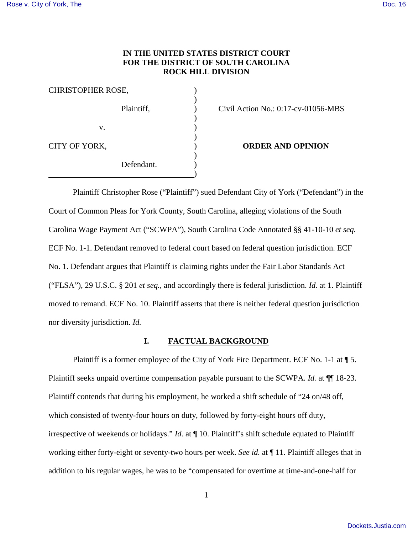### **IN THE UNITED STATES DISTRICT COURT FOR THE DISTRICT OF SOUTH CAROLINA ROCK HILL DIVISION**

Civil Action No.:  $0:17$ -cv-01056-MBS

**ORDER AND OPINION** 

Plaintiff Christopher Rose ("Plaintiff") sued Defendant City of York ("Defendant") in the Court of Common Pleas for York County, South Carolina, alleging violations of the South Carolina Wage Payment Act ("SCWPA"), South Carolina Code Annotated §§ 41-10-10 *et seq.* ECF No. 1-1. Defendant removed to federal court based on federal question jurisdiction. ECF No. 1. Defendant argues that Plaintiff is claiming rights under the Fair Labor Standards Act ("FLSA"), 29 U.S.C. § 201 *et seq.*, and accordingly there is federal jurisdiction. *Id.* at 1. Plaintiff moved to remand. ECF No. 10. Plaintiff asserts that there is neither federal question jurisdiction nor diversity jurisdiction. *Id.*

### **I. FACTUAL BACKGROUND**

Plaintiff is a former employee of the City of York Fire Department. ECF No. 1-1 at  $\P$  5. Plaintiff seeks unpaid overtime compensation payable pursuant to the SCWPA. *Id.* at ¶¶ 18-23. Plaintiff contends that during his employment, he worked a shift schedule of "24 on/48 off, which consisted of twenty-four hours on duty, followed by forty-eight hours off duty, irrespective of weekends or holidays." *Id.* at ¶ 10. Plaintiff's shift schedule equated to Plaintiff working either forty-eight or seventy-two hours per week. *See id.* at ¶ 11. Plaintiff alleges that in addition to his regular wages, he was to be "compensated for overtime at time-and-one-half for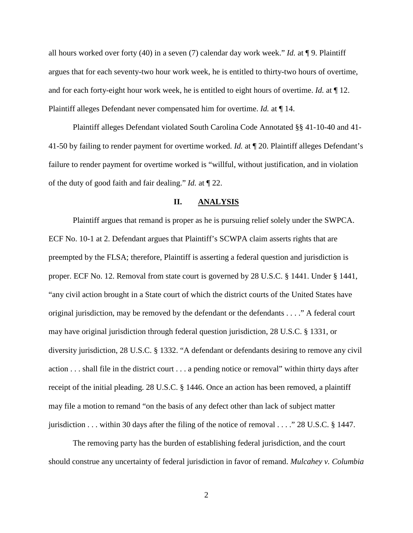all hours worked over forty (40) in a seven (7) calendar day work week." *Id.* at ¶ 9. Plaintiff argues that for each seventy-two hour work week, he is entitled to thirty-two hours of overtime, and for each forty-eight hour work week, he is entitled to eight hours of overtime. *Id.* at ¶ 12. Plaintiff alleges Defendant never compensated him for overtime. *Id.* at ¶ 14.

Plaintiff alleges Defendant violated South Carolina Code Annotated §§ 41-10-40 and 41- 41-50 by failing to render payment for overtime worked. *Id.* at ¶ 20. Plaintiff alleges Defendant's failure to render payment for overtime worked is "willful, without justification, and in violation of the duty of good faith and fair dealing." *Id.* at ¶ 22.

#### **II. ANALYSIS**

Plaintiff argues that remand is proper as he is pursuing relief solely under the SWPCA. ECF No. 10-1 at 2. Defendant argues that Plaintiff's SCWPA claim asserts rights that are preempted by the FLSA; therefore, Plaintiff is asserting a federal question and jurisdiction is proper. ECF No. 12. Removal from state court is governed by 28 U.S.C. § 1441. Under § 1441, "any civil action brought in a State court of which the district courts of the United States have original jurisdiction, may be removed by the defendant or the defendants . . . ." A federal court may have original jurisdiction through federal question jurisdiction, 28 U.S.C. § 1331, or diversity jurisdiction, 28 U.S.C. § 1332. "A defendant or defendants desiring to remove any civil action . . . shall file in the district court . . . a pending notice or removal" within thirty days after receipt of the initial pleading. 28 U.S.C. § 1446. Once an action has been removed, a plaintiff may file a motion to remand "on the basis of any defect other than lack of subject matter jurisdiction . . . within 30 days after the filing of the notice of removal . . . ." 28 U.S.C. § 1447.

The removing party has the burden of establishing federal jurisdiction, and the court should construe any uncertainty of federal jurisdiction in favor of remand. *Mulcahey v. Columbia* 

2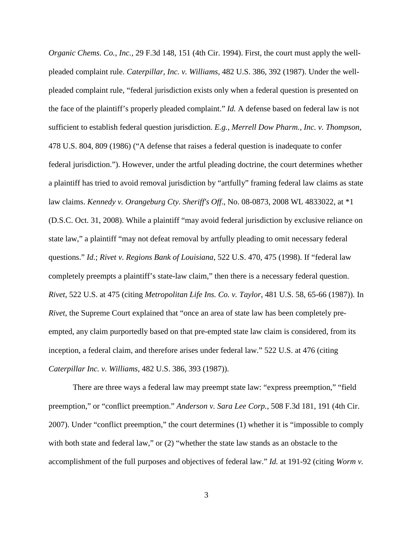*Organic Chems. Co., Inc.*, 29 F.3d 148, 151 (4th Cir. 1994). First, the court must apply the wellpleaded complaint rule. *Caterpillar, Inc. v. Williams*, 482 U.S. 386, 392 (1987). Under the wellpleaded complaint rule, "federal jurisdiction exists only when a federal question is presented on the face of the plaintiff's properly pleaded complaint." *Id.* A defense based on federal law is not sufficient to establish federal question jurisdiction. *E.g.*, *Merrell Dow Pharm., Inc. v. Thompson*, 478 U.S. 804, 809 (1986) ("A defense that raises a federal question is inadequate to confer federal jurisdiction."). However, under the artful pleading doctrine, the court determines whether a plaintiff has tried to avoid removal jurisdiction by "artfully" framing federal law claims as state law claims. *Kennedy v. Orangeburg Cty. Sheriff's Off*., No. 08-0873, 2008 WL 4833022, at \*1 (D.S.C. Oct. 31, 2008). While a plaintiff "may avoid federal jurisdiction by exclusive reliance on state law," a plaintiff "may not defeat removal by artfully pleading to omit necessary federal questions." *Id.*; *Rivet v. Regions Bank of Louisiana*, 522 U.S. 470, 475 (1998). If "federal law completely preempts a plaintiff's state-law claim," then there is a necessary federal question. *Rivet*, 522 U.S. at 475 (citing *Metropolitan Life Ins. Co. v. Taylor*, 481 U.S. 58, 65-66 (1987)). In *Rivet*, the Supreme Court explained that "once an area of state law has been completely preempted, any claim purportedly based on that pre-empted state law claim is considered, from its inception, a federal claim, and therefore arises under federal law." 522 U.S. at 476 (citing *Caterpillar Inc. v. Williams*, 482 U.S. 386, 393 (1987)).

There are three ways a federal law may preempt state law: "express preemption," "field preemption," or "conflict preemption." *Anderson v. Sara Lee Corp.*, 508 F.3d 181, 191 (4th Cir. 2007). Under "conflict preemption," the court determines (1) whether it is "impossible to comply with both state and federal law," or (2) "whether the state law stands as an obstacle to the accomplishment of the full purposes and objectives of federal law." *Id.* at 191-92 (citing *Worm v.* 

3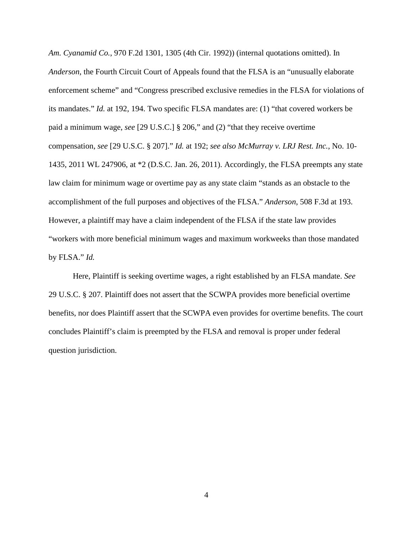*Am. Cyanamid Co.*, 970 F.2d 1301, 1305 (4th Cir. 1992)) (internal quotations omitted). In *Anderson*, the Fourth Circuit Court of Appeals found that the FLSA is an "unusually elaborate enforcement scheme" and "Congress prescribed exclusive remedies in the FLSA for violations of its mandates." *Id.* at 192, 194. Two specific FLSA mandates are: (1) "that covered workers be paid a minimum wage, *see* [29 U.S.C.] § 206," and (2) "that they receive overtime compensation, *see* [29 U.S.C. § 207]." *Id.* at 192; *see also McMurray v. LRJ Rest. Inc.*, No. 10- 1435, 2011 WL 247906, at \*2 (D.S.C. Jan. 26, 2011). Accordingly, the FLSA preempts any state law claim for minimum wage or overtime pay as any state claim "stands as an obstacle to the accomplishment of the full purposes and objectives of the FLSA." *Anderson*, 508 F.3d at 193. However, a plaintiff may have a claim independent of the FLSA if the state law provides "workers with more beneficial minimum wages and maximum workweeks than those mandated by FLSA." *Id.*

Here, Plaintiff is seeking overtime wages, a right established by an FLSA mandate. *See*  29 U.S.C. § 207. Plaintiff does not assert that the SCWPA provides more beneficial overtime benefits, nor does Plaintiff assert that the SCWPA even provides for overtime benefits. The court concludes Plaintiff's claim is preempted by the FLSA and removal is proper under federal question jurisdiction.